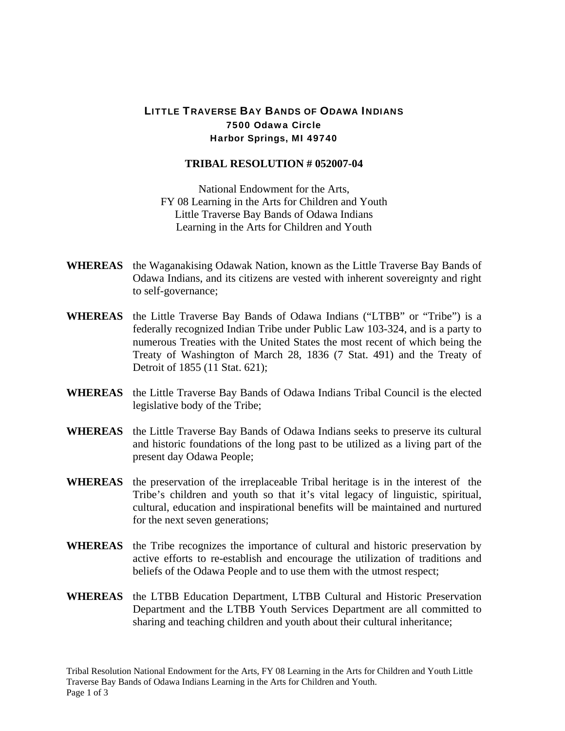## LITTLE TRAVERSE BAY BANDS OF ODAWA INDIANS 7500 Odawa Circle Harbor Springs, MI 49740

## **TRIBAL RESOLUTION # 052007-04**

National Endowment for the Arts, FY 08 Learning in the Arts for Children and Youth Little Traverse Bay Bands of Odawa Indians Learning in the Arts for Children and Youth

- **WHEREAS** the Waganakising Odawak Nation, known as the Little Traverse Bay Bands of Odawa Indians, and its citizens are vested with inherent sovereignty and right to self-governance;
- **WHEREAS** the Little Traverse Bay Bands of Odawa Indians ("LTBB" or "Tribe") is a federally recognized Indian Tribe under Public Law 103-324, and is a party to numerous Treaties with the United States the most recent of which being the Treaty of Washington of March 28, 1836 (7 Stat. 491) and the Treaty of Detroit of 1855 (11 Stat. 621);
- **WHEREAS** the Little Traverse Bay Bands of Odawa Indians Tribal Council is the elected legislative body of the Tribe;
- **WHEREAS** the Little Traverse Bay Bands of Odawa Indians seeks to preserve its cultural and historic foundations of the long past to be utilized as a living part of the present day Odawa People;
- **WHEREAS** the preservation of the irreplaceable Tribal heritage is in the interest of the Tribe's children and youth so that it's vital legacy of linguistic, spiritual, cultural, education and inspirational benefits will be maintained and nurtured for the next seven generations;
- **WHEREAS** the Tribe recognizes the importance of cultural and historic preservation by active efforts to re-establish and encourage the utilization of traditions and beliefs of the Odawa People and to use them with the utmost respect;
- **WHEREAS** the LTBB Education Department, LTBB Cultural and Historic Preservation Department and the LTBB Youth Services Department are all committed to sharing and teaching children and youth about their cultural inheritance;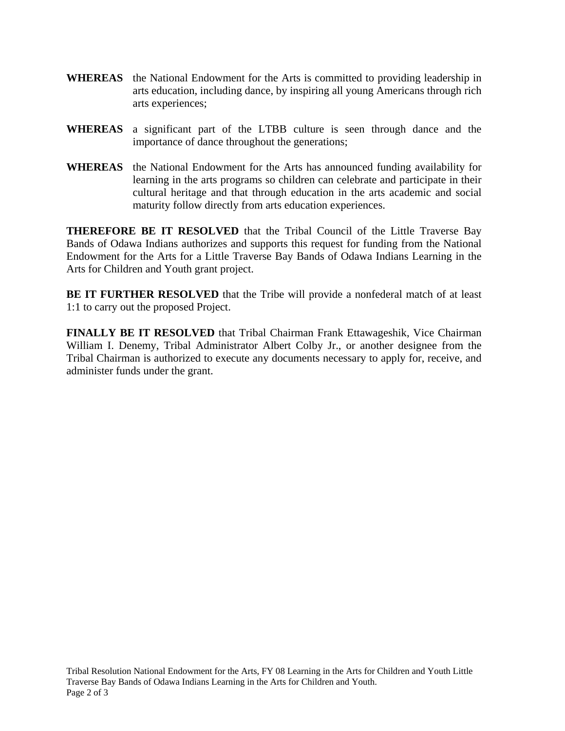- **WHEREAS** the National Endowment for the Arts is committed to providing leadership in arts education, including dance, by inspiring all young Americans through rich arts experiences;
- **WHEREAS** a significant part of the LTBB culture is seen through dance and the importance of dance throughout the generations;
- **WHEREAS** the National Endowment for the Arts has announced funding availability for learning in the arts programs so children can celebrate and participate in their cultural heritage and that through education in the arts academic and social maturity follow directly from arts education experiences.

**THEREFORE BE IT RESOLVED** that the Tribal Council of the Little Traverse Bay Bands of Odawa Indians authorizes and supports this request for funding from the National Endowment for the Arts for a Little Traverse Bay Bands of Odawa Indians Learning in the Arts for Children and Youth grant project.

**BE IT FURTHER RESOLVED** that the Tribe will provide a nonfederal match of at least 1:1 to carry out the proposed Project.

**FINALLY BE IT RESOLVED** that Tribal Chairman Frank Ettawageshik, Vice Chairman William I. Denemy, Tribal Administrator Albert Colby Jr., or another designee from the Tribal Chairman is authorized to execute any documents necessary to apply for, receive, and administer funds under the grant.